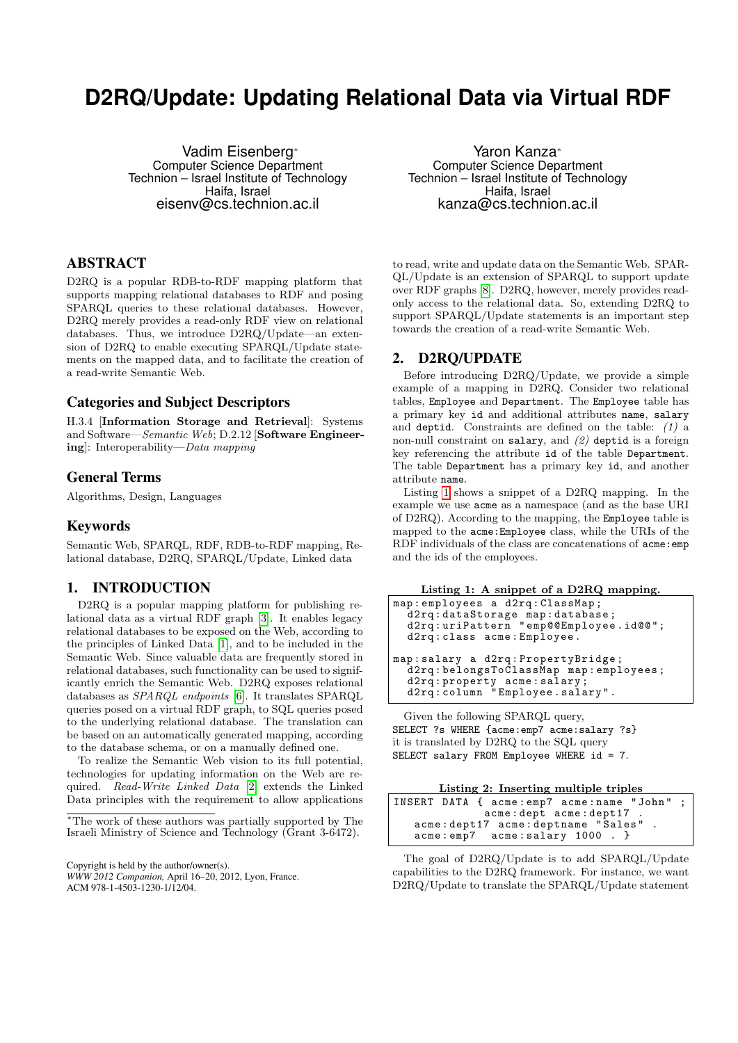# **D2RQ/Update: Updating Relational Data via Virtual RDF**

Vadim Eisenberg<sup>∗</sup> Computer Science Department Technion – Israel Institute of Technology Haifa, Israel eisenv@cs.technion.ac.il

### ABSTRACT

D2RQ is a popular RDB-to-RDF mapping platform that supports mapping relational databases to RDF and posing SPARQL queries to these relational databases. However, D2RQ merely provides a read-only RDF view on relational databases. Thus, we introduce D2RQ/Update—an extension of D2RQ to enable executing SPARQL/Update statements on the mapped data, and to facilitate the creation of a read-write Semantic Web.

#### Categories and Subject Descriptors

H.3.4 [Information Storage and Retrieval]: Systems and Software—Semantic Web; D.2.12 [Software Engineering]: Interoperability—Data mapping

## General Terms

Algorithms, Design, Languages

#### Keywords

Semantic Web, SPARQL, RDF, RDB-to-RDF mapping, Relational database, D2RQ, SPARQL/Update, Linked data

## 1. INTRODUCTION

D2RQ is a popular mapping platform for publishing relational data as a virtual RDF graph [\[3\]](#page-1-0). It enables legacy relational databases to be exposed on the Web, according to the principles of Linked Data [\[1\]](#page-1-1), and to be included in the Semantic Web. Since valuable data are frequently stored in relational databases, such functionality can be used to significantly enrich the Semantic Web. D2RQ exposes relational databases as SPARQL endpoints [\[6\]](#page-1-2). It translates SPARQL queries posed on a virtual RDF graph, to SQL queries posed to the underlying relational database. The translation can be based on an automatically generated mapping, according to the database schema, or on a manually defined one.

To realize the Semantic Web vision to its full potential, technologies for updating information on the Web are required. Read-Write Linked Data [\[2\]](#page-1-3) extends the Linked Data principles with the requirement to allow applications

<sup>∗</sup>The work of these authors was partially supported by The Israeli Ministry of Science and Technology (Grant 3-6472).

Copyright is held by the author/owner(s).

*WWW 2012 Companion,* April 16–20, 2012, Lyon, France. ACM 978-1-4503-1230-1/12/04.

Yaron Kanza<sup>∗</sup> Computer Science Department Technion – Israel Institute of Technology Haifa, Israel kanza@cs.technion.ac.il

to read, write and update data on the Semantic Web. SPAR-QL/Update is an extension of SPARQL to support update over RDF graphs [\[8\]](#page-1-4). D2RQ, however, merely provides readonly access to the relational data. So, extending D2RQ to support SPARQL/Update statements is an important step towards the creation of a read-write Semantic Web.

#### 2. D2RQ/UPDATE

Before introducing D2RQ/Update, we provide a simple example of a mapping in D2RQ. Consider two relational tables, Employee and Department. The Employee table has a primary key id and additional attributes name, salary and deptid. Constraints are defined on the table:  $(1)$  a non-null constraint on salary, and (2) deptid is a foreign key referencing the attribute id of the table Department. The table Department has a primary key id, and another attribute name.

Listing [1](#page-0-0) shows a snippet of a D2RQ mapping. In the example we use acme as a namespace (and as the base URI of D2RQ). According to the mapping, the Employee table is mapped to the acme:Employee class, while the URIs of the RDF individuals of the class are concatenations of  $a$ cme: emp and the ids of the employees.

Listing 1: A snippet of a D2RQ mapping.

<span id="page-0-0"></span>

| map: employees a d2rq: ClassMap;      |
|---------------------------------------|
| d2rq:dataStorage map:database;        |
| d2rq:uriPattern "emp@@Employee.id@@"; |
| d2rq: class acme: Employee.           |
|                                       |
| map: salary a d2rq: PropertyBridge;   |
| d2rq:belongsToClassMap map:employees; |
| d2rq: property acme: salary;          |
| d2rq:column "Employee.salary".        |
|                                       |

Given the following SPARQL query, SELECT ?s WHERE {acme:emp7 acme:salary ?s} it is translated by D2RQ to the SQL query SELECT salary FROM Employee WHERE id = 7.

|  | Listing 2: Inserting multiple triples |  |  |
|--|---------------------------------------|--|--|
|  |                                       |  |  |

<span id="page-0-1"></span>

|  | INSERT DATA { acme:emp7 acme:name "John" ; |  |  |
|--|--------------------------------------------|--|--|
|  | acme: dept acme: dept17.                   |  |  |
|  | acme: dept17 acme: deptname "Sales".       |  |  |
|  | $acme:emp7$ $acme:salary$ $1000$ .         |  |  |

The goal of D2RQ/Update is to add SPARQL/Update capabilities to the D2RQ framework. For instance, we want D2RQ/Update to translate the SPARQL/Update statement